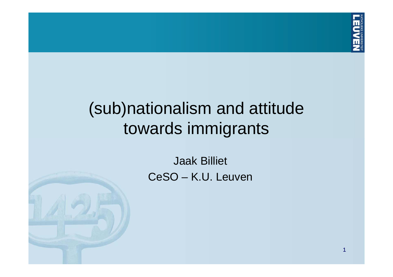

# (sub)nationalism and attitude towards immigrants

Jaak Billiet CeSO – K.U. Leuven

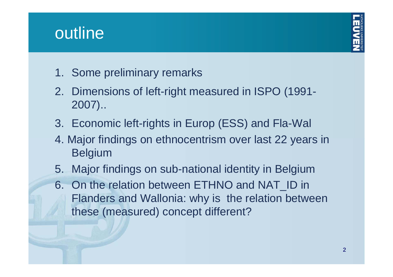# outline



- 1. Some preliminary remarks
- 2. Dimensions of left-right measured in ISPO (1991- 2007)..
- 3. Economic left-rights in Europ (ESS) and Fla-Wal
- 4. Major findings on ethnocentrism over last 22 years in Belgium
- 5. Major findings on sub-national identity in Belgium
- 6. On the relation between ETHNO and NAT\_ID in Flanders and Wallonia: why is the relation between these (measured) concept different?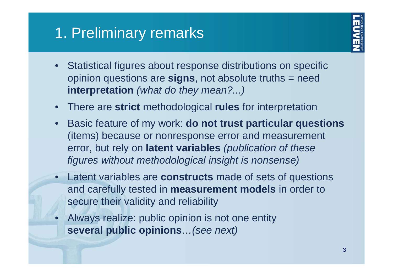# 1. Preliminary remarks



- $\bullet$  Statistical figures about response distributions on specific opinion questions are **signs**, not absolute truths = need **interpretation** *(what do they mean?...)*
- •There are **strict** methodological **rules** for interpretation
- • Basic feature of my work: **do not trust particular questions** (items) because or nonresponse error and measurement error, but rely on **latent variables** *(publication of these figures without methodological insight is nonsense)*
- • Latent variables are **constructs** made of sets of questions and carefully tested in **measurement models** in order to secure their validity and reliability
- • Always realize: public opinion is not one entity **several public opinions***…(see next)*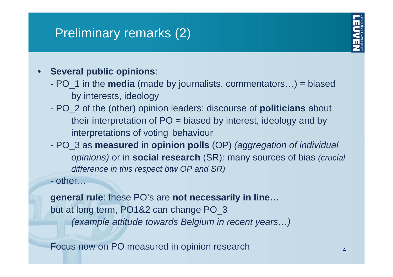## Preliminary remarks (2)

- • **Several public opinions**:
	- PO\_1 in the **media** (made by journalists, commentators…) = biased by interests, ideology
	- - PO\_2 of the (other) opinion leaders: discourse of **politicians** about their interpretation of PO = biased by interest, ideology and by interpretations of voting behaviour
	- - PO\_3 as **measured** in **opinion polls** (OP) *(aggregation of individual opinions)* or in **social research** (SR)*:* many sources of bias *(crucial difference in this respect btw OP and SR)*
	- other…

**general rule**: these PO's are **not necessarily in line…** but at long term, PO1&2 can change PO\_3 *(example attitude towards Belgium in recent years…)*

Focus now on PO measured in opinion research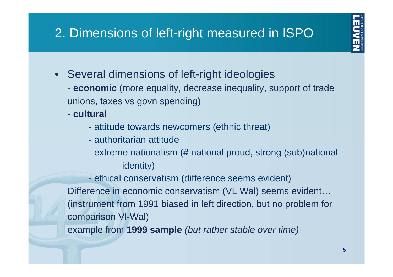# 2. Dimensions of left-right measured in ISPO



- $\bullet$  Several dimensions of left-right ideologies
	- **economic** (more equality, decrease inequality, support of trade unions, taxes vs govn spending)
	- **cultural** 
		- attitude towards newcomers (ethnic threat)
		- authoritarian attitude
		- $\mathcal{L}_{\mathcal{A}}$  extreme nationalism (# national proud, strong (sub)national identity)

 ethical conservatism (difference seems evident) Difference in economic conservatism (VL Wal) seems evident… (instrument from 1991 biased in left direction, but no problem for comparison Vl-Wal) example from **1999 sample** *(but rather stable over time)*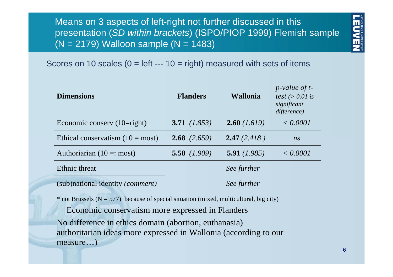Means on 3 aspects of left-right not further discussed in this presentation (*SD within brackets*) (ISPO/PIOP 1999) Flemish sample  $(N = 2179)$  Walloon sample  $(N = 1483)$ 



#### Scores on 10 scales  $(0 = left -- 10 = right)$  measured with sets of items

| <b>Dimensions</b>                         | <b>Flanders</b>       | <b>Wallonia</b> | $p$ -value of t-<br>test ( $> 0.01$ is<br>significant<br>difference) |
|-------------------------------------------|-----------------------|-----------------|----------------------------------------------------------------------|
| Economic conserv $(10 = right)$           | 3.71 $(1.853)$        | 2.60(1.619)     | < 0.0001                                                             |
| Ethical conservatism $(10 = most)$        | <b>2.68</b> $(2.659)$ | 2,47(2.418)     | n <sub>S</sub>                                                       |
| Authoriarian $(10 \equiv$ : most)         | 5.58 $(1.909)$        | 5.91(1.985)     | < 0.0001                                                             |
| Ethnic threat                             |                       | See further     |                                                                      |
| (sub)national identity ( <i>comment</i> ) |                       | See further     |                                                                      |

 $*$  not Brussels (N = 577) because of special situation (mixed, multicultural, big city)

Economic conservatism more expressed in Flanders No difference in ethics domain (abortion, euthanasia) authoritarian ideas more expressed in Wallonia (according to our measure…)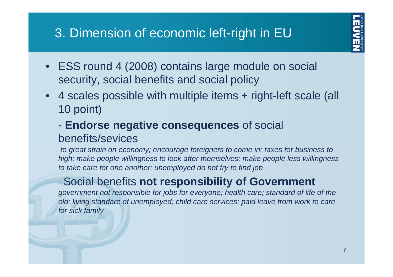## 3. Dimension of economic left-right in EU



- ESS round 4 (2008) contains large module on social security, social benefits and social policy
- $\bullet$  4 scales possible with multiple items + right-left scale (all 10 point)
	- - **Endorse negative consequences** of social benefits/sevices

*to great strain on economy; encourage foreigners to come in; taxes for business to high; make people willingness to look after themselves; make people less willingness to take care for one another; unemployed do not try to find job*

### Social benefits **not responsibility of Government**

*government not responsible for jobs for everyone; health care; standard of life of the old; living standare of unemployed; child care services; paid leave from work to care for sick family*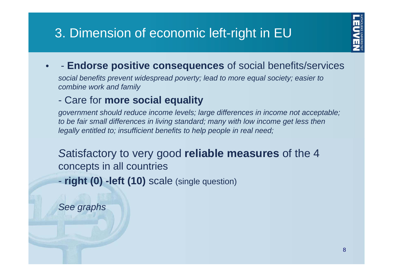## 3. Dimension of economic left-right in EU



#### •**Endorse positive consequences** of social benefits/services

*social benefits prevent widespread poverty; lead to more equal society; easier to combine work and family*

#### $\mathcal{L}_{\mathcal{A}}$ Care for **more social equality**

*government should reduce income levels; large differences in income not acceptable; to be fair small differences in living standard; many with low income get less then legally entitled to; insufficient benefits to help people in real need;* 

*S*atisfactory to very good **reliable measures** of the 4 concepts in all countries

**right (0) -left (10)** scale (single question)

*See graphs*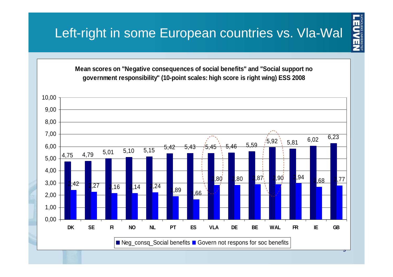# Left-right in some European countries vs. Vla-Wal



 $\prod_{\text{MMSALS}}\prod_{\text{MMSALS}}\prod_{\text{MMSALS}}$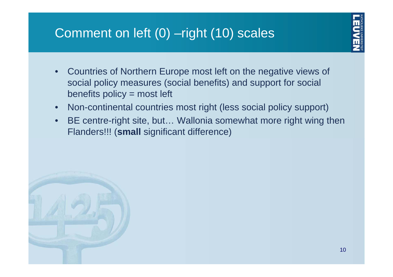## Comment on left (0) –right (10) scales



- • Countries of Northern Europe most left on the negative views of social policy measures (social benefits) and support for social benefits policy = most left
- •Non-continental countries most right (less social policy support)
- • BE centre-right site, but… Wallonia somewhat more right wing then Flanders!!! (**small** significant difference)

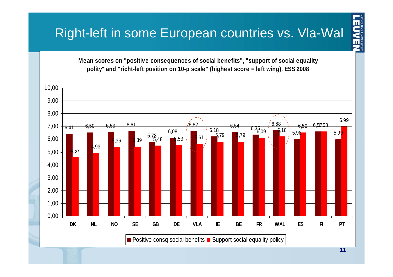**Mean scores on "positive consequences of social benefits", "support of social equality polity" and "richt-left position on 10-p scale" (highest score = left wing). ESS 2008**



**TENVERSIEN**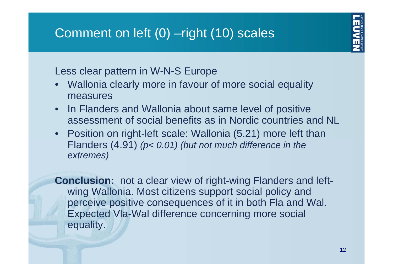

Less clear pattern in W-N-S Europe

- • Wallonia clearly more in favour of more social equality measures
- $\bullet$  In Flanders and Wallonia about same level of positive assessment of social benefits as in Nordic countries and NL
- $\bullet$  Position on right-left scale: Wallonia (5.21) more left than Flanders (4.91) *(p< 0.01) (but not much difference in the extremes)*

**Conclusion:** not a clear view of right-wing Flanders and leftwing Wallonia. Most citizens support social policy and perceive positive consequences of it in both Fla and Wal. Expected Vla-Wal difference concerning more social equality.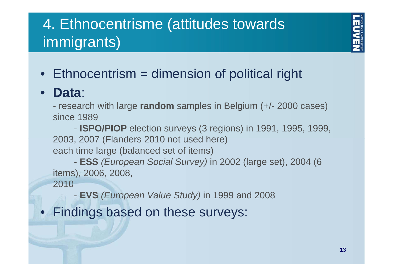# 4. Ethnocentrisme (attitudes towards immigrants)

• Ethnocentrism = dimension of political right

#### $\bullet$ **Data**:

 research with large **random** samples in Belgium (+/- 2000 cases) since 1989

- **ISPO/PIOP** election surveys (3 regions) in 1991, 1995, 1999, 2003, 2007 (Flanders 2010 not used here) each time large (balanced set of items)

- **ESS** *(European Social Survey)* in 2002 (large set), 2004 (6 items), 2006, 2008,

2010

**EVS** *(European Value Study)* in 1999 and 2008

• Findings based on these surveys: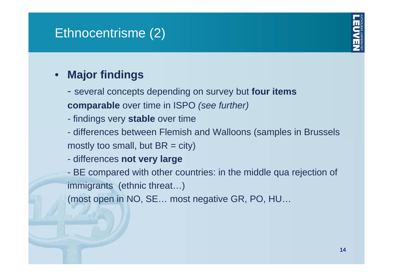## Ethnocentrisme (2)



#### $\bullet$ **Major findings**

- several concepts depending on survey but **four items comparable** over time in ISPO *(see further)*
- findings very **stable** over time
- differences between Flemish and Walloons (samples in Brussels mostly too small, but  $BR = city$ )
- $\mathcal{L}_{\mathcal{A}}$ differences **not very large**

 BE compared with other countries: in the middle qua rejection of immigrants (ethnic threat…)

(most open in NO, SE… most negative GR, PO, HU…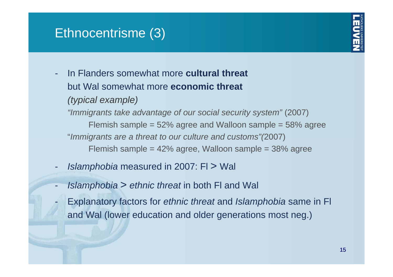### Ethnocentrisme (3)

 $\mathcal{L}_{\mathcal{A}}$ 



 In Flanders somewhat more **cultural threat**but Wal somewhat more **economic threat***(typical example) "Immigrants take advantage of our social security system"* (2007) Flemish sample = 52% agree and Walloon sample = 58% agree "*Immigrants are a threat to our culture and customs"(*2007) Flemish sample = 42% agree, Walloon sample = 38% agree

- $\mathcal{L}_{\mathcal{A}}$ *Islamphobia* measured in 2007: Fl > Wal
- -*Islamphobia* > *ethnic threat* in both Fl and Wal
- Explanatory factors for *ethnic threat* and *Islamphobia* same in Fl and Wal (lower education and older generations most neg.)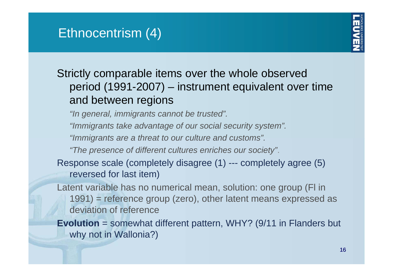

### Strictly comparable items over the whole observed period (1991-2007) – instrument equivalent over time and between regions

*"In general, immigrants cannot be trusted".*

*"Immigrants take advantage of our social security system".*

*"Immigrants are a threat to our culture and customs".*

*"The presence of different cultures enriches our society"*.

Response scale (completely disagree (1) --- completely agree (5) reversed for last item)

Latent variable has no numerical mean, solution: one group (Fl in 1991) = reference group (zero), other latent means expressed as deviation of reference

#### **Evolution** = somewhat different pattern, WHY? (9/11 in Flanders but why not in Wallonia?)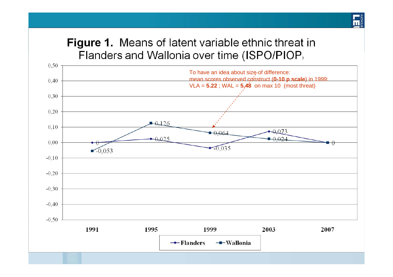#### **Figure 1.** Means of latent variable ethnic threat in Flanders and Wallonia over time (ISPO/PIOP)

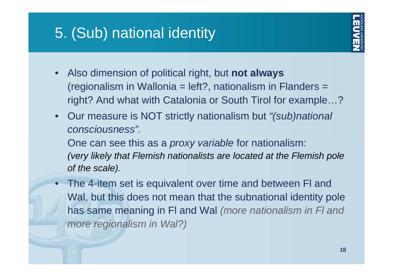# 5. (Sub) national identity



- • Also dimension of political right, but **not always** (regionalism in Wallonia = left?, nationalism in Flanders = right? And what with Catalonia or South Tirol for example…?
- • Our measure is NOT strictly nationalism but *"(sub)national consciousness".*

One can see this as a *proxy variable* for nationalism: *(very likely that Flemish nationalists are located at the Flemish pole of the scale).*

 $\bullet$  The 4-item set is equivalent over time and between Fl and Wal, but this does not mean that the subnational identity pole has same meaning in Fl and Wal *(more nationalism in Fl and more regionalism in Wal?)*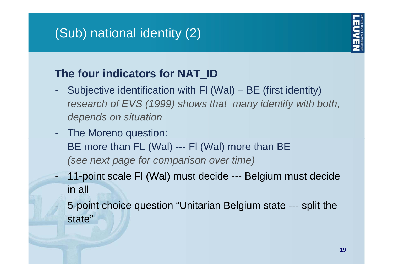# (Sub) national identity (2)



### **The four indicators for NAT\_ID**

- - Subjective identification with Fl (Wal) – BE (first identity) *research of EVS (1999) shows that many identify with both, depends on situation*
- $\mathcal{L}_{\mathcal{A}}$  The Moreno question: BE more than FL (Wal) --- FI (Wal) more than BE *(see next page for comparison over time)*
- - 11-point scale Fl (Wal) must decide --- Belgium must decide in all
- - 5-point choice question "Unitarian Belgium state --- split the state"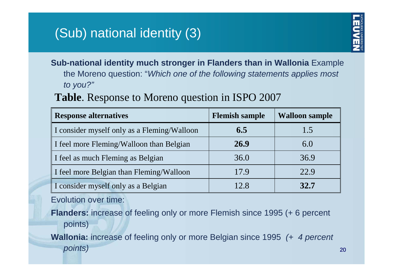## (Sub) national identity (3)



**Sub-national identity much stronger in Flanders than in Wallonia** Example the Moreno question: "*Which one of the following statements applies most to you?"*

#### **Table**. Response to Moreno question in ISPO 2007

| <b>Response alternatives</b>                | <b>Flemish sample</b> | <b>Walloon sample</b> |
|---------------------------------------------|-----------------------|-----------------------|
| I consider myself only as a Fleming/Walloon | 6.5                   | 1.5                   |
| I feel more Fleming/Walloon than Belgian    | 26.9                  | 6.0                   |
| I feel as much Fleming as Belgian           | 36.0                  | 36.9                  |
| I feel more Belgian than Fleming/Walloon    | 17.9                  | 22.9                  |
| I consider myself only as a Belgian         | 12.8                  | 32.7                  |

Evolution over time:

**Flanders:** increase of feeling only or more Flemish since 1995 (+ 6 percent points)

**Wallonia:** increase of feeling only or more Belgian since 1995 *(+ 4 percent points)*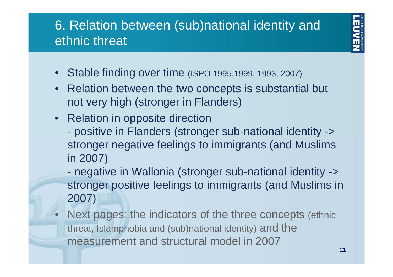## 6. Relation between (sub)national identity and ethnic threat



- $\bullet$ Stable finding over time (ISPO 1995,1999, 1993, 2007)
- $\bullet$  Relation between the two concepts is substantial but not very high (stronger in Flanders)
- Relation in opposite direction
	- positive in Flanders (stronger sub-national identity -> stronger negative feelings to immigrants (and Muslims in 2007)
	- $\mathcal{L}_{\mathcal{A}}$  negative in Wallonia (stronger sub-national identity -> stronger positive feelings to immigrants (and Muslims in 2007)
- $\bullet$  Next pages: the indicators of the three concepts (ethnic threat, Islamphobia and (sub)national identity) and the measurement and structural model in 2007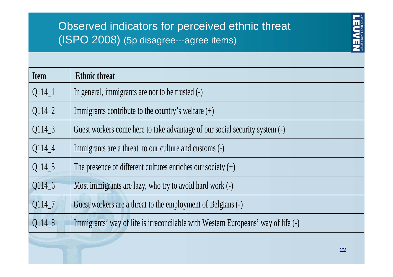### Observed indicators for perceived ethnic threat (ISPO 2008) (5p disagree---agree items)



| <b>Ethnic threat</b>                                                              |
|-----------------------------------------------------------------------------------|
| In general, immigrants are not to be trusted (-)                                  |
| Immigrants contribute to the country's welfare $(+)$                              |
| Guest workers come here to take advantage of our social security system (-)       |
| Immigrants are a threat to our culture and customs (-)                            |
| The presence of different cultures enriches our society $(+)$                     |
| Most immigrants are lazy, who try to avoid hard work (-)                          |
| Guest workers are a threat to the employment of Belgians (-)                      |
| Immigrants' way of life is irreconcilable with Western Europeans' way of life (-) |
|                                                                                   |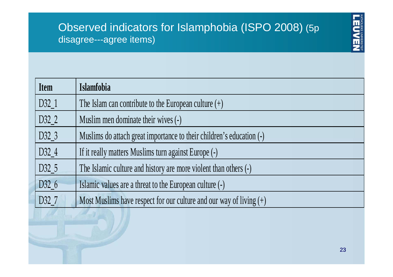#### Observed indicators for Islamphobia (ISPO 2008) (5p disagree---agree items)



| <b>Item</b> | Islamfobia                                                            |
|-------------|-----------------------------------------------------------------------|
| D32_1       | The Islam can contribute to the European culture $(+)$                |
| D32_2       | Muslim men dominate their wives (-)                                   |
| D32_3       | Muslims do attach great importance to their children's education (-)  |
| D32_4       | If it really matters Muslims turn against Europe (-)                  |
| D32_5       | The Islamic culture and history are more violent than others (-)      |
| D32_6       | Islamic values are a threat to the European culture (-)               |
| D32_7       | Most Muslims have respect for our culture and our way of living $(+)$ |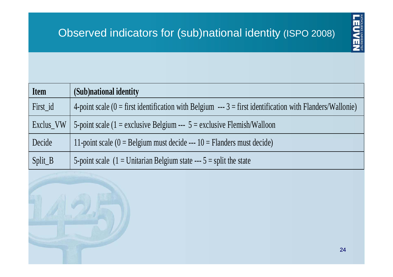

| <b>Item</b> | (Sub)national identity                                                                                         |
|-------------|----------------------------------------------------------------------------------------------------------------|
| First_id    | 4-point scale ( $0 =$ first identification with Belgium --- $3 =$ first identification with Flanders/Wallonie) |
| Exclus_VW   | 5-point scale (1 = exclusive Belgium --- $5$ = exclusive Flemish/Walloon                                       |
| Decide      | 11-point scale $(0 =$ Belgium must decide --- 10 = Flanders must decide)                                       |
| Split_B     | 5-point scale $(1 =$ Unitarian Belgium state --- 5 = split the state                                           |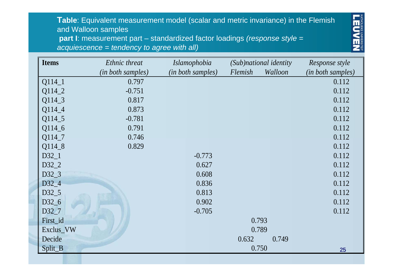#### **Table**: Equivalent measurement model (scalar and metric invariance) in the Flemish and Walloon samples

**part I**: measurement part – standardized factor loadings *(response style = acquiescence = tendency to agree with all)* 



| <b>Items</b>      | Ethnic threat     | <i>Islamophobia</i> | (Sub)national identity |         | Response style    |
|-------------------|-------------------|---------------------|------------------------|---------|-------------------|
|                   | (in both samples) | (in both samples)   | Flemish                | Walloon | (in both samples) |
| $Q114_1$          | 0.797             |                     |                        |         | 0.112             |
| Q114_2            | $-0.751$          |                     |                        |         | 0.112             |
| Q114_3            | 0.817             |                     |                        |         | 0.112             |
| Q114_4            | 0.873             |                     |                        |         | 0.112             |
| Q114_5            | $-0.781$          |                     |                        |         | 0.112             |
| Q114_6            | 0.791             |                     |                        |         | 0.112             |
| Q114_7            | 0.746             |                     |                        |         | 0.112             |
| Q114_8            | 0.829             |                     |                        |         | 0.112             |
| $D32_1$           |                   | $-0.773$            |                        |         | 0.112             |
| D32_2             |                   | 0.627               |                        |         | 0.112             |
| D32_3             |                   | 0.608               |                        |         | 0.112             |
| D32_4             |                   | 0.836               |                        |         | 0.112             |
| $D32\_5$          |                   | 0.813               |                        |         | 0.112             |
| D32_6             |                   | 0.902               |                        |         | 0.112             |
| D <sub>32</sub> 7 |                   | $-0.705$            |                        |         | 0.112             |
| First_id          |                   |                     | 0.793                  |         |                   |
| Exclus_VW         |                   |                     | 0.789                  |         |                   |
| Decide            |                   |                     | 0.632                  | 0.749   |                   |
| Split_B           |                   |                     | 0.750                  |         | 25                |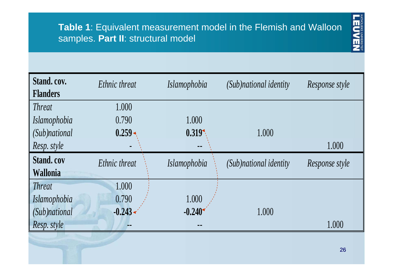

| Stand. cov.<br><b>Flanders</b> | Ethnic threat | Islamophobia        | (Sub)national identity | Response style |
|--------------------------------|---------------|---------------------|------------------------|----------------|
| <i>Threat</i>                  | 1.000         |                     |                        |                |
| <i>Islamophobia</i>            | 0.790         | 1.000               |                        |                |
| (Sub)national                  | $0.259 -$     | 0.319               | 1.000                  |                |
| Resp. style                    |               | --                  |                        | 1.000          |
| <b>Stand.cov</b>               | Ethnic threat | <i>Islamophobia</i> | (Sub)national identity | Response style |
| <b>Wallonia</b>                |               |                     |                        |                |
| <b>Threat</b>                  | 1.000         |                     |                        |                |
| Islamophobia                   | 0.790         | 1.000               |                        |                |
| (Sub)national                  | $-0.243$      | $-0.240$            | 1.000                  |                |
| Resp. style                    |               |                     |                        | 1.000          |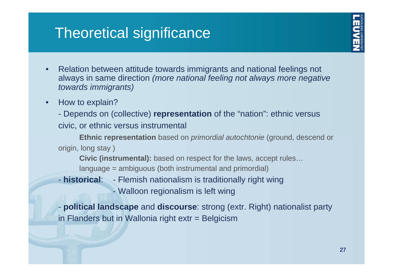# Theoretical significance



- • Relation between attitude towards immigrants and national feelings not always in same direction *(more national feeling not always more negative towards immigrants)*
- •How to explain?

- Depends on (collective) **representation** of the "nation": ethnic versus civic, or ethnic versus instrumental

**Ethnic representation** based on *primordial autochtonie* (ground, descend or origin, long stay )

**Civic (instrumental):** based on respect for the laws, accept rules… language = ambiguous (both instrumental and primordial)

- **historical**: Flemish nationalism is traditionally right wing
	- Walloon regionalism is left wing

- **political landscape** and **discourse**: strong (extr. Right) nationalist party in Flanders but in Wallonia right extr = Belgicism